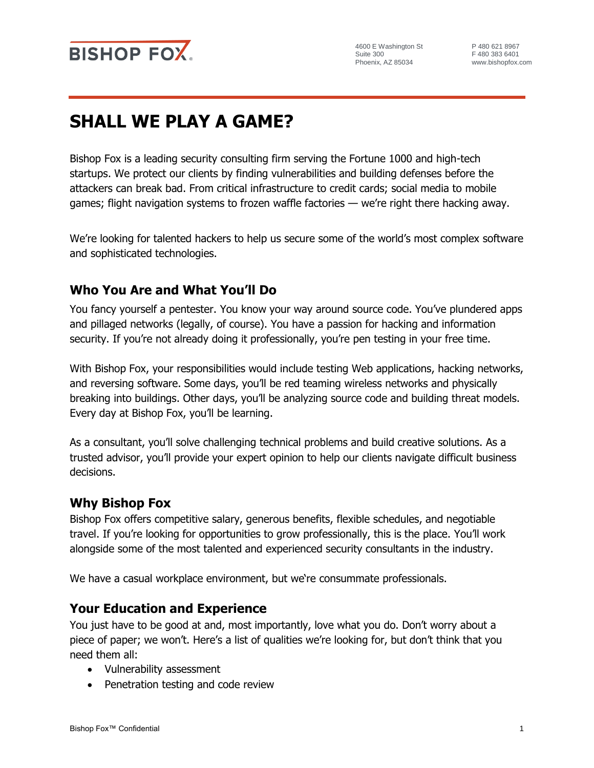

# **SHALL WE PLAY A GAME?**

Bishop Fox is a leading security consulting firm serving the Fortune 1000 and high-tech startups. We protect our clients by finding vulnerabilities and building defenses before the attackers can break bad. From critical infrastructure to credit cards; social media to mobile games; flight navigation systems to frozen waffle factories — we're right there hacking away.

We're looking for talented hackers to help us secure some of the world's most complex software and sophisticated technologies.

## **Who You Are and What You'll Do**

You fancy yourself a pentester. You know your way around source code. You've plundered apps and pillaged networks (legally, of course). You have a passion for hacking and information security. If you're not already doing it professionally, you're pen testing in your free time.

With Bishop Fox, your responsibilities would include testing Web applications, hacking networks, and reversing software. Some days, you'll be red teaming wireless networks and physically breaking into buildings. Other days, you'll be analyzing source code and building threat models. Every day at Bishop Fox, you'll be learning.

As a consultant, you'll solve challenging technical problems and build creative solutions. As a trusted advisor, you'll provide your expert opinion to help our clients navigate difficult business decisions.

### **Why Bishop Fox**

Bishop Fox offers competitive salary, generous benefits, flexible schedules, and negotiable travel. If you're looking for opportunities to grow professionally, this is the place. You'll work alongside some of the most talented and experienced security consultants in the industry.

We have a casual workplace environment, but we're consummate professionals.

### **Your Education and Experience**

You just have to be good at and, most importantly, love what you do. Don't worry about a piece of paper; we won't. Here's a list of qualities we're looking for, but don't think that you need them all:

- Vulnerability assessment
- Penetration testing and code review